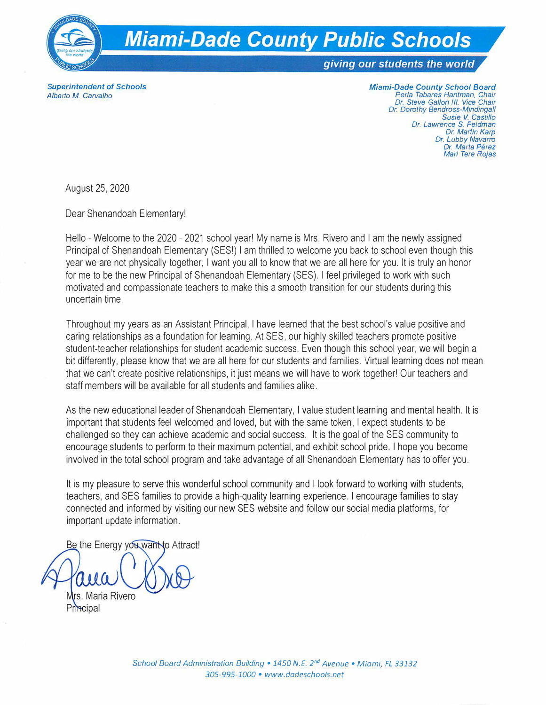

*Superintendent of Schools Alberto M. Carvalho* 

*Miami-Dade County School Board Perla Tabares Hantman. Chair Dr. Steve Gallon Ill. Vice Chair Dr. Dorothy Bendross-Mindingall Susie* **V.** *Castillo Dr. Lawrence S. Feldman Dr. Martin Karp Dr. Lubby Navarro Dr. Marta Perez Mari Tere Rojas* 

August 25, 2020

Dear Shenandoah Elementary!

Hello - Welcome to the 2020 - 2021 school year! My name is Mrs. Rivero and I am the newly assigned Principal of Shenandoah Elementary (SES!) I am thrilled to welcome you back to school even though this year we are not physically together, I want you all to know that we are all here for you. It is truly an honor for me to be the new Principal of Shenandoah Elementary (SES). I feel privileged to work with such motivated and compassionate teachers to make this a smooth transition for our students during this uncertain time.

Throughout my years as an Assistant Principal, I have learned that the best school's value positive and caring relationships as a foundation for learning. At SES, our highly skilled teachers promote positive student-teacher relationships for student academic success. Even though this school year, we will begin a bit differently, please know that we are all here for our students and families. Virtual learning does not mean that we can't create positive relationships, it just means we will have to work together! Our teachers and staff members will be available for all students and families alike.

As the new educational leader of Shenandoah Elementary, I value student learning and mental health. It is important that students feel welcomed and loved, but with the same token, I expect students to be challenged so they can achieve academic and social success. It is the goal of the SES community to encourage students to perform to their maximum potential, and exhibit school pride. I hope you become involved in the total school program and take advantage of all Shenandoah Elementary has to offer you.

It is my pleasure to serve this wonderful school community and I look forward to working with students, teachers, and SES families to provide a high-quality learning experience. I encourage families to stay connected and informed by visiting our new SES website and follow our social media platforms, for important update information.

Be the Energy you want to Attract! Mrs. Maria Rivero Principal